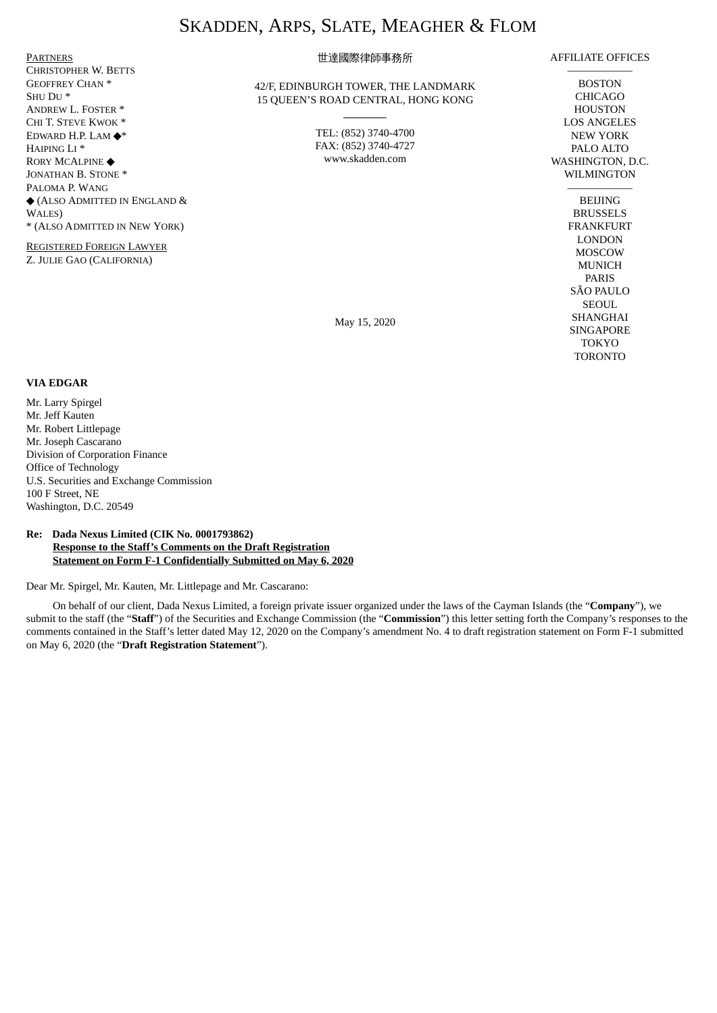# SKADDEN, ARPS, SLATE, MEAGHER & FLOM

PARTNERS CHRISTOPHER W. BETTS GEOFFREY CHAN \* SHU DU \* ANDREW L. FOSTER \* CHI T. STEVE KWOK \* EDWARD H.P. LAM ◆\* HAIPING LI \* RORY MCALPINE ◆ JONATHAN B. STONE \* PALOMA P. WANG ◆ (ALSO ADMITTED IN ENGLAND & WALES) \* (ALSO ADMITTED IN NEW YORK)

REGISTERED FOREIGN LAWYER Z. JULIE GAO (CALIFORNIA)

# 世達國際律師事務所

42/F, EDINBURGH TOWER, THE LANDMARK 15 QUEEN'S ROAD CENTRAL, HONG KONG

> TEL: (852) 3740-4700 FAX: (852) 3740-4727 www.skadden.com

AFFILIATE OFFICES

—————— BOSTON CHICAGO HOUSTON LOS ANGELES NEW YORK PALO ALTO WASHINGTON, D.C. WILMINGTON

> —————— **BELIING** BRUSSELS FRANKFURT LONDON MOSCOW MUNICH PARIS SÃO PAULO SEOUL SHANGHAI SINGAPORE TOKYO TORONTO

May 15, 2020

#### **VIA EDGAR**

Mr. Larry Spirgel Mr. Jeff Kauten Mr. Robert Littlepage Mr. Joseph Cascarano Division of Corporation Finance Office of Technology U.S. Securities and Exchange Commission 100 F Street, NE Washington, D.C. 20549

# **Re: Dada Nexus Limited (CIK No. 0001793862) Response to the Staff's Comments on the Draft Registration Statement on Form F-1 Confidentially Submitted on May 6, 2020**

Dear Mr. Spirgel, Mr. Kauten, Mr. Littlepage and Mr. Cascarano:

On behalf of our client, Dada Nexus Limited, a foreign private issuer organized under the laws of the Cayman Islands (the "**Company**"), we submit to the staff (the "**Staff**") of the Securities and Exchange Commission (the "**Commission**") this letter setting forth the Company's responses to the comments contained in the Staff's letter dated May 12, 2020 on the Company's amendment No. 4 to draft registration statement on Form F-1 submitted on May 6, 2020 (the "**Draft Registration Statement**").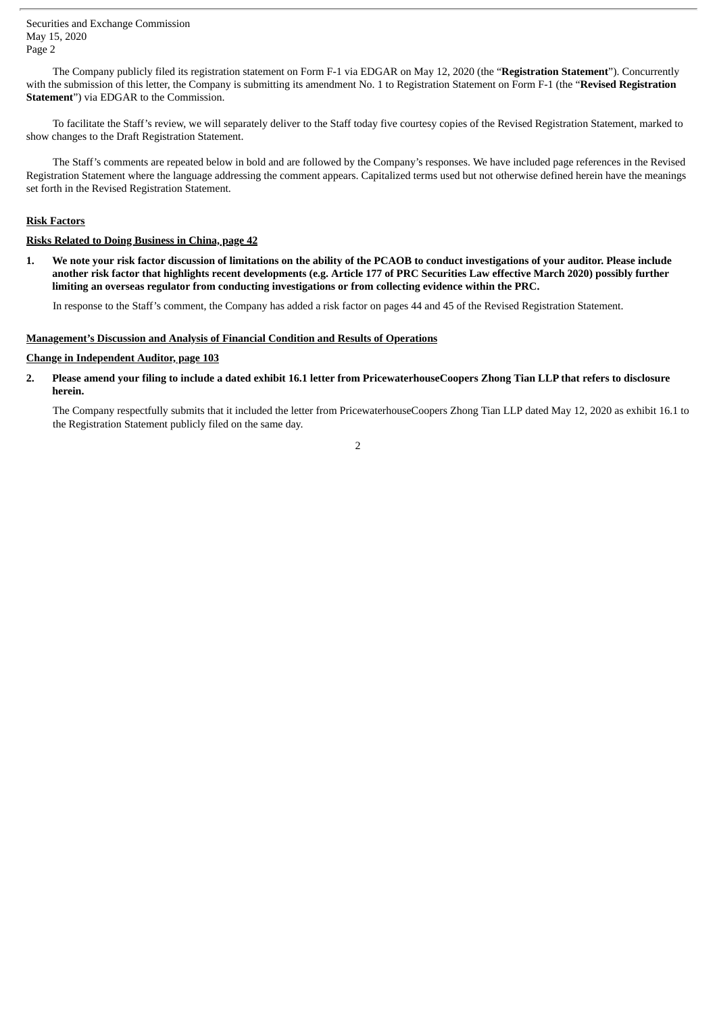Securities and Exchange Commission May 15, 2020 Page 2

The Company publicly filed its registration statement on Form F-1 via EDGAR on May 12, 2020 (the "**Registration Statement**"). Concurrently with the submission of this letter, the Company is submitting its amendment No. 1 to Registration Statement on Form F-1 (the "**Revised Registration Statement**") via EDGAR to the Commission.

To facilitate the Staff's review, we will separately deliver to the Staff today five courtesy copies of the Revised Registration Statement, marked to show changes to the Draft Registration Statement.

The Staff's comments are repeated below in bold and are followed by the Company's responses. We have included page references in the Revised Registration Statement where the language addressing the comment appears. Capitalized terms used but not otherwise defined herein have the meanings set forth in the Revised Registration Statement.

## **Risk Factors**

# **Risks Related to Doing Business in China, page 42**

1. We note your risk factor discussion of limitations on the ability of the PCAOB to conduct investigations of your auditor. Please include another risk factor that highlights recent developments (e.g. Article 177 of PRC Securities Law effective March 2020) possibly further **limiting an overseas regulator from conducting investigations or from collecting evidence within the PRC.**

In response to the Staff's comment, the Company has added a risk factor on pages 44 and 45 of the Revised Registration Statement.

#### **Management's Discussion and Analysis of Financial Condition and Results of Operations**

## **Change in Independent Auditor, page 103**

2. Please amend vour filing to include a dated exhibit 16.1 letter from PricewaterhouseCoopers Zhong Tian LLP that refers to disclosure **herein.**

The Company respectfully submits that it included the letter from PricewaterhouseCoopers Zhong Tian LLP dated May 12, 2020 as exhibit 16.1 to the Registration Statement publicly filed on the same day.

2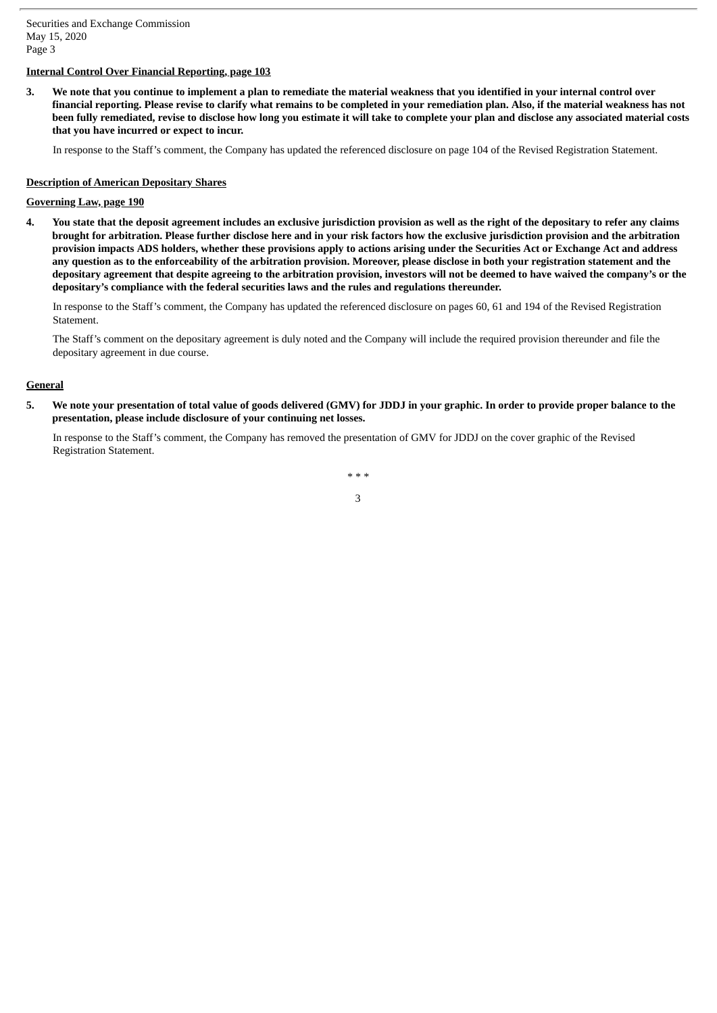# **Internal Control Over Financial Reporting, page 103**

3. We note that you continue to implement a plan to remediate the material weakness that you identified in your internal control over financial reporting. Please revise to clarify what remains to be completed in your remediation plan. Also, if the material weakness has not been fully remediated, revise to disclose how long you estimate it will take to complete your plan and disclose any associated material costs **that you have incurred or expect to incur.**

In response to the Staff's comment, the Company has updated the referenced disclosure on page 104 of the Revised Registration Statement.

## **Description of American Depositary Shares**

# **Governing Law, page 190**

4. You state that the deposit agreement includes an exclusive jurisdiction provision as well as the right of the depositary to refer any claims brought for arbitration. Please further disclose here and in your risk factors how the exclusive jurisdiction provision and the arbitration provision impacts ADS holders, whether these provisions apply to actions arising under the Securities Act or Exchange Act and address any question as to the enforceability of the arbitration provision. Moreover, please disclose in both your registration statement and the depositary agreement that despite agreeing to the arbitration provision, investors will not be deemed to have waived the company's or the **depositary's compliance with the federal securities laws and the rules and regulations thereunder.**

In response to the Staff's comment, the Company has updated the referenced disclosure on pages 60, 61 and 194 of the Revised Registration Statement.

The Staff's comment on the depositary agreement is duly noted and the Company will include the required provision thereunder and file the depositary agreement in due course.

## **General**

5. We note your presentation of total value of goods delivered (GMV) for JDDJ in your graphic. In order to provide proper balance to the **presentation, please include disclosure of your continuing net losses.**

In response to the Staff's comment, the Company has removed the presentation of GMV for JDDJ on the cover graphic of the Revised Registration Statement.

> *\* \* \** 3